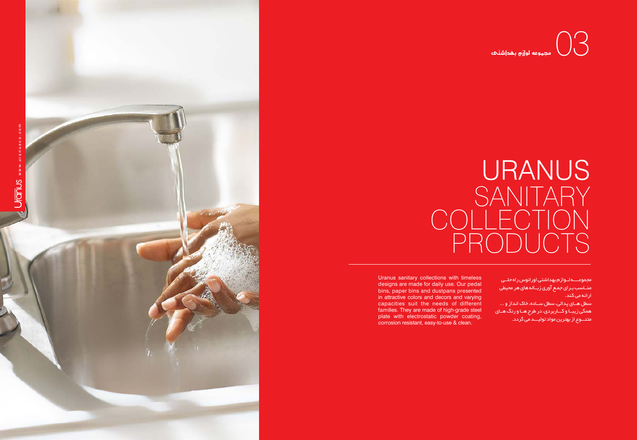مجموعــــه لــوازم بهداشتی اورانوس راه حلــی منــاسب بـرای جمـع آوری زبــاله های هر محیطی ارائه می کند. سطل هــای پدالی، سطل ســاده، خاک انداز و ... همگی زیبــا و کـــاربردی، در طرح هــا و رنگ هــای متنـــوع از بهترین مواد تولیـــد می گردد.



## URANUS<br>SANITARY COLLECTION  $\mathsf{P}% _{0}\!\left( \mathcal{N}_{0}\right)$

Uranus sanitary collections with timeless designs are made for daily use. Our pedal bins, paper bins and dustpans presented in attractive colors and decors and varying capacities suit the needs of different families. They are made of high-grade steel plate with electrostatic powder coating, corrosion resistant, easy-to-use & clean.

## $\odot$   $\odot$   $\odot$   $\odot$   $\odot$   $\odot$   $\odot$   $\odot$   $\odot$   $\odot$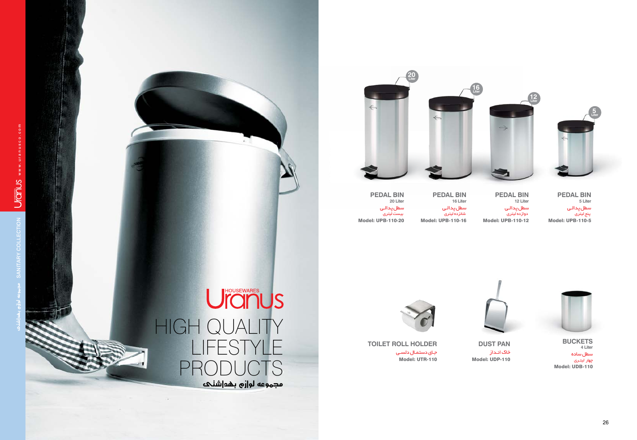

سطل پدالـی پنج لیتری Model: UPB-110-5 **PEDAL BIN 5 Liter**

سطل پدالـی دوازده لیتری Model: UPB-110-12 **PEDAL BIN b 12 Liter**



خاک انـداز **pust PAN** Model: UDP-110

جـاي دستمـال دلسـي Model: UTR-110 **toilet ROLL HOLDER** 

UrousEWARES HIGH QUALITY lifestyle productsمجهوعه لو|زم بهد|شنحه

سطل پدالـی شانزده لیتری Model: UPB-110-16 **PEDAL BIN 16 Liter**

سطل پدالـی بیست لیتری Model: UPB-110-20 **PEDAL BIN b 20 Liter**





سطل ساده چهار لیتـری **Buckets**Model: UDB-110  **4 Liter**